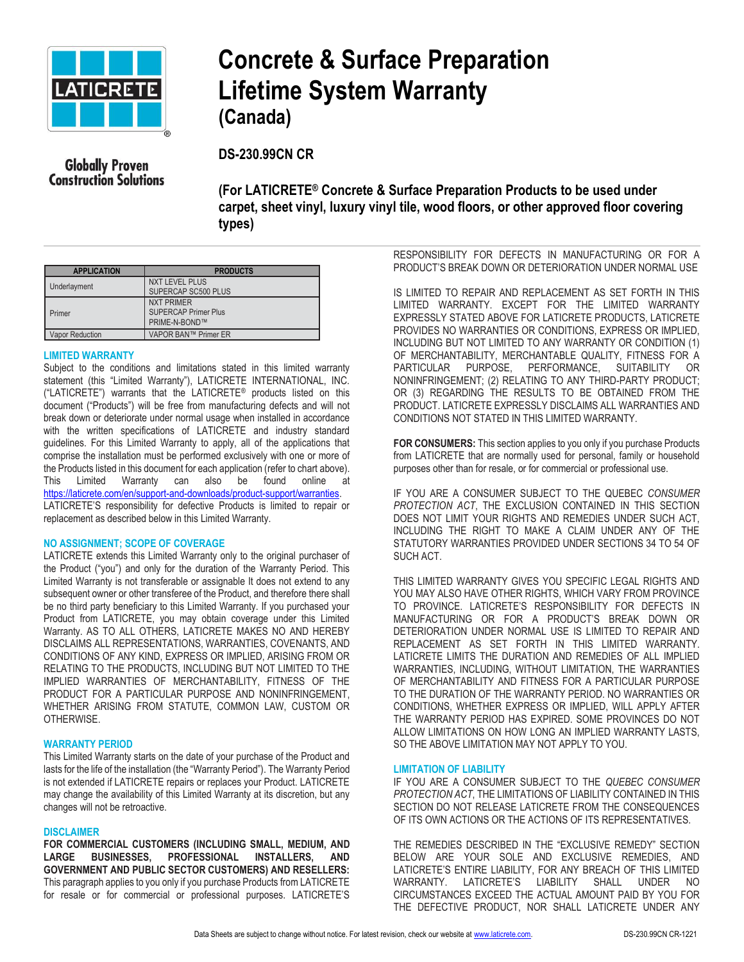

# **Concrete & Surface Preparation Lifetime System Warranty (Canada)**

**Globally Proven Construction Solutions**  **DS-230.99CN CR**

**(For LATICRETE® Concrete & Surface Preparation Products to be used under carpet, sheet vinyl, luxury vinyl tile, wood floors, or other approved floor covering types)** 

| <b>APPLICATION</b> | <b>PRODUCTS</b>                                                   |
|--------------------|-------------------------------------------------------------------|
| Underlayment       | <b>NXT LEVEL PLUS</b><br>SUPERCAP SC500 PLUS                      |
| Primer             | <b>NXT PRIMER</b><br><b>SUPERCAP Primer Plus</b><br>PRIME-N-BOND™ |
| Vapor Reduction    | VAPOR BAN™ Primer ER                                              |

# **LIMITED WARRANTY**

Subject to the conditions and limitations stated in this limited warranty statement (this "Limited Warranty"), LATICRETE INTERNATIONAL, INC. ("LATICRETE") warrants that the LATICRETE® products listed on this document ("Products") will be free from manufacturing defects and will not break down or deteriorate under normal usage when installed in accordance with the written specifications of LATICRETE and industry standard guidelines. For this Limited Warranty to apply, all of the applications that comprise the installation must be performed exclusively with one or more of the Products listed in this document for each application (refer to chart above). This Limited Warranty can also be found online at [https://laticrete.com/en/support-and-downloads/product-support/warranties.](https://laticrete.com/en/support-and-downloads/product-support/warranties)  LATICRETE'S responsibility for defective Products is limited to repair or replacement as described below in this Limited Warranty.

# **NO ASSIGNMENT; SCOPE OF COVERAGE**

LATICRETE extends this Limited Warranty only to the original purchaser of the Product ("you") and only for the duration of the Warranty Period. This Limited Warranty is not transferable or assignable It does not extend to any subsequent owner or other transferee of the Product, and therefore there shall be no third party beneficiary to this Limited Warranty. If you purchased your Product from LATICRETE, you may obtain coverage under this Limited Warranty. AS TO ALL OTHERS, LATICRETE MAKES NO AND HEREBY DISCLAIMS ALL REPRESENTATIONS, WARRANTIES, COVENANTS, AND CONDITIONS OF ANY KIND, EXPRESS OR IMPLIED, ARISING FROM OR RELATING TO THE PRODUCTS, INCLUDING BUT NOT LIMITED TO THE IMPLIED WARRANTIES OF MERCHANTABILITY, FITNESS OF THE PRODUCT FOR A PARTICULAR PURPOSE AND NONINFRINGEMENT, WHETHER ARISING FROM STATUTE, COMMON LAW, CUSTOM OR OTHERWISE.

# **WARRANTY PERIOD**

This Limited Warranty starts on the date of your purchase of the Product and lasts for the life of the installation (the "Warranty Period"). The Warranty Period is not extended if LATICRETE repairs or replaces your Product. LATICRETE may change the availability of this Limited Warranty at its discretion, but any changes will not be retroactive.

#### **DISCLAIMER**

**FOR COMMERCIAL CUSTOMERS (INCLUDING SMALL, MEDIUM, AND LARGE BUSINESSES, PROFESSIONAL INSTALLERS, AND GOVERNMENT AND PUBLIC SECTOR CUSTOMERS) AND RESELLERS:** This paragraph applies to you only if you purchase Products from LATICRETE for resale or for commercial or professional purposes. LATICRETE'S

RESPONSIBILITY FOR DEFECTS IN MANUFACTURING OR FOR A PRODUCT'S BREAK DOWN OR DETERIORATION UNDER NORMAL USE

IS LIMITED TO REPAIR AND REPLACEMENT AS SET FORTH IN THIS LIMITED WARRANTY. EXCEPT FOR THE LIMITED WARRANTY EXPRESSLY STATED ABOVE FOR LATICRETE PRODUCTS, LATICRETE PROVIDES NO WARRANTIES OR CONDITIONS, EXPRESS OR IMPLIED, INCLUDING BUT NOT LIMITED TO ANY WARRANTY OR CONDITION (1) OF MERCHANTABILITY, MERCHANTABLE QUALITY, FITNESS FOR A PARTICULAR PURPOSE, PERFORMANCE, SUITABILITY OR NONINFRINGEMENT; (2) RELATING TO ANY THIRD-PARTY PRODUCT; OR (3) REGARDING THE RESULTS TO BE OBTAINED FROM THE PRODUCT. LATICRETE EXPRESSLY DISCLAIMS ALL WARRANTIES AND CONDITIONS NOT STATED IN THIS LIMITED WARRANTY.

**FOR CONSUMERS:** This section applies to you only if you purchase Products from LATICRETE that are normally used for personal, family or household purposes other than for resale, or for commercial or professional use.

IF YOU ARE A CONSUMER SUBJECT TO THE QUEBEC *CONSUMER PROTECTION ACT*, THE EXCLUSION CONTAINED IN THIS SECTION DOES NOT LIMIT YOUR RIGHTS AND REMEDIES UNDER SUCH ACT, INCLUDING THE RIGHT TO MAKE A CLAIM UNDER ANY OF THE STATUTORY WARRANTIES PROVIDED UNDER SECTIONS 34 TO 54 OF SUCH ACT.

THIS LIMITED WARRANTY GIVES YOU SPECIFIC LEGAL RIGHTS AND YOU MAY ALSO HAVE OTHER RIGHTS, WHICH VARY FROM PROVINCE TO PROVINCE. LATICRETE'S RESPONSIBILITY FOR DEFECTS IN MANUFACTURING OR FOR A PRODUCT'S BREAK DOWN OR DETERIORATION UNDER NORMAL USE IS LIMITED TO REPAIR AND REPLACEMENT AS SET FORTH IN THIS LIMITED WARRANTY. LATICRETE LIMITS THE DURATION AND REMEDIES OF ALL IMPLIED WARRANTIES, INCLUDING, WITHOUT LIMITATION, THE WARRANTIES OF MERCHANTABILITY AND FITNESS FOR A PARTICULAR PURPOSE TO THE DURATION OF THE WARRANTY PERIOD. NO WARRANTIES OR CONDITIONS, WHETHER EXPRESS OR IMPLIED, WILL APPLY AFTER THE WARRANTY PERIOD HAS EXPIRED. SOME PROVINCES DO NOT ALLOW LIMITATIONS ON HOW LONG AN IMPLIED WARRANTY LASTS, SO THE ABOVE LIMITATION MAY NOT APPLY TO YOU.

#### **LIMITATION OF LIABILITY**

IF YOU ARE A CONSUMER SUBJECT TO THE *QUEBEC CONSUMER PROTECTION ACT*, THE LIMITATIONS OF LIABILITY CONTAINED IN THIS SECTION DO NOT RELEASE LATICRETE FROM THE CONSEQUENCES OF ITS OWN ACTIONS OR THE ACTIONS OF ITS REPRESENTATIVES.

THE REMEDIES DESCRIBED IN THE "EXCLUSIVE REMEDY" SECTION BELOW ARE YOUR SOLE AND EXCLUSIVE REMEDIES, AND LATICRETE'S ENTIRE LIABILITY, FOR ANY BREACH OF THIS LIMITED WARRANTY. LATICRETE'S LIABILITY SHALL UNDER NO CIRCUMSTANCES EXCEED THE ACTUAL AMOUNT PAID BY YOU FOR THE DEFECTIVE PRODUCT, NOR SHALL LATICRETE UNDER ANY